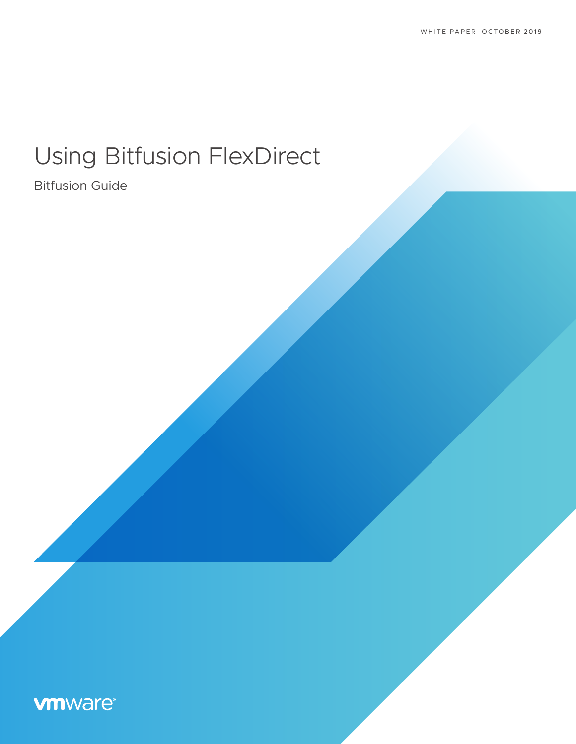# Using Bitfusion FlexDirect

# Bitfusion Guide

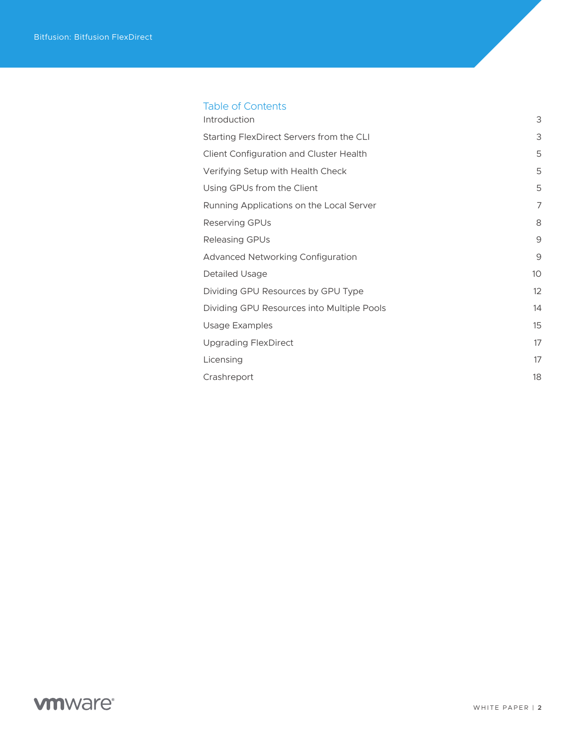# Table of Contents

| Introduction                               | 3              |
|--------------------------------------------|----------------|
| Starting FlexDirect Servers from the CLI   | 3              |
| Client Configuration and Cluster Health    | 5              |
| Verifying Setup with Health Check          | 5              |
| Using GPUs from the Client                 | 5              |
| Running Applications on the Local Server   | $\overline{7}$ |
| Reserving GPUs                             | 8              |
| <b>Releasing GPUs</b>                      | 9              |
| Advanced Networking Configuration          | 9              |
| Detailed Usage                             | 10             |
| Dividing GPU Resources by GPU Type         | 12             |
| Dividing GPU Resources into Multiple Pools | 14             |
| Usage Examples                             | 15             |
| <b>Upgrading FlexDirect</b>                | 17             |
| Licensing                                  | 17             |
| Crashreport                                | 18             |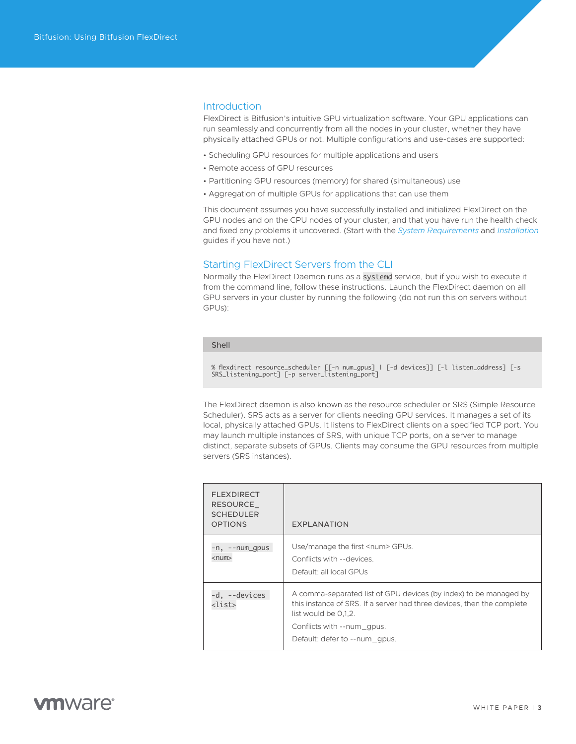#### <span id="page-2-0"></span>**Introduction**

FlexDirect is Bitfusion's intuitive GPU virtualization software. Your GPU applications can run seamlessly and concurrently from all the nodes in your cluster, whether they have physically attached GPUs or not. Multiple configurations and use-cases are supported:

- Scheduling GPU resources for multiple applications and users
- Remote access of GPU resources
- Partitioning GPU resources (memory) for shared (simultaneous) use
- Aggregation of multiple GPUs for applications that can use them

This document assumes you have successfully installed and initialized FlexDirect on the GPU nodes and on the CPU nodes of your cluster, and that you have run the health check and fixed any problems it uncovered. (Start with the *[System Requirements](https://www-review.vmware.com/solutions/business-critical-apps/hardwareaccelerators-virtualization.html 
)* and *[Installation](https://www-review.vmware.com/solutions/business-critical-apps/hardwareaccelerators-virtualization.html 
)* guides if you have not.)

# Starting FlexDirect Servers from the CLI

Normally the FlexDirect Daemon runs as a systemd service, but if you wish to execute it from the command line, follow these instructions. Launch the FlexDirect daemon on all GPU servers in your cluster by running the following (do not run this on servers without GPUs):

#### Shell

% flexdirect resource\_scheduler [[-n num\_gpus] | [-d devices]] [-l listen\_address] [-s SRS\_listening\_port] [-p server\_listening\_port]

The FlexDirect daemon is also known as the resource scheduler or SRS (Simple Resource Scheduler). SRS acts as a server for clients needing GPU services. It manages a set of its local, physically attached GPUs. It listens to FlexDirect clients on a specified TCP port. You may launch multiple instances of SRS, with unique TCP ports, on a server to manage distinct, separate subsets of GPUs. Clients may consume the GPU resources from multiple servers (SRS instances).

| <b>FLEXDIRECT</b><br>RESOURCE<br><b>SCHEDULER</b><br><b>OPTIONS</b> | <b>EXPLANATION</b>                                                                                                                                                                                                                 |
|---------------------------------------------------------------------|------------------------------------------------------------------------------------------------------------------------------------------------------------------------------------------------------------------------------------|
| $-n, -num\_qpus$<br>$<$ num $>$                                     | Use/manage the first <num> GPUs.<br/>Conflicts with --devices.<br/>Default: all local GPUs</num>                                                                                                                                   |
| -d, --devices<br><list></list>                                      | A comma-separated list of GPU devices (by index) to be managed by<br>this instance of SRS. If a server had three devices, then the complete<br>list would be 0.1.2.<br>Conflicts with --num qpus.<br>Default: defer to --num qpus. |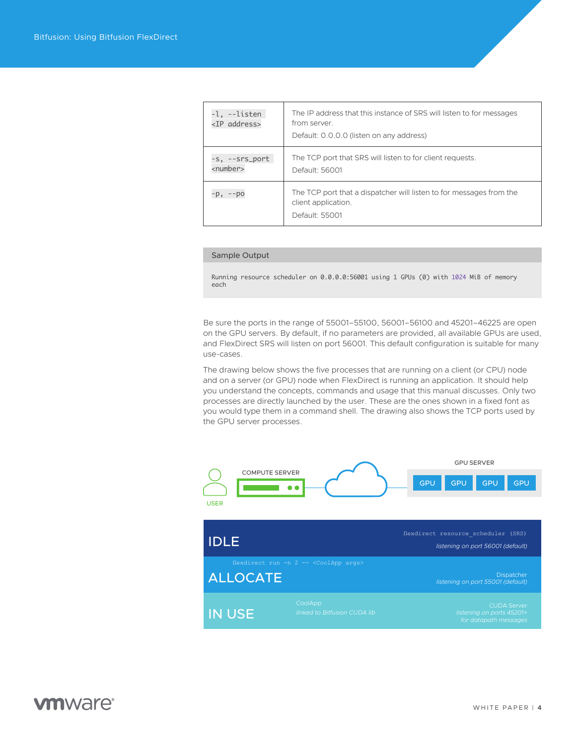| -l, --listen<br><ip address=""></ip> | The IP address that this instance of SRS will listen to for messages<br>from server.<br>Default: 0.0.0.0 (listen on any address) |
|--------------------------------------|----------------------------------------------------------------------------------------------------------------------------------|
| -s, --srs_port<br><number></number>  | The TCP port that SRS will listen to for client requests.<br>Default: 56001                                                      |
| -p, --po                             | The TCP port that a dispatcher will listen to for messages from the<br>client application.<br>Default: 55001                     |

#### Sample Output

Running resource scheduler on 0.0.0.0:56001 using 1 GPUs (0) with 1024 MiB of memory each

Be sure the ports in the range of 55001–55100, 56001–56100 and 45201–46225 are open on the GPU servers. By default, if no parameters are provided, all available GPUs are used, and FlexDirect SRS will listen on port 56001. This default configuration is suitable for many use-cases.

The drawing below shows the five processes that are running on a client (or CPU) node and on a server (or GPU) node when FlexDirect is running an application. It should help you understand the concepts, commands and usage that this manual discusses. Only two processes are directly launched by the user. These are the ones shown in a fixed font as you would type them in a command shell. The drawing also shows the TCP ports used by the GPU server processes.

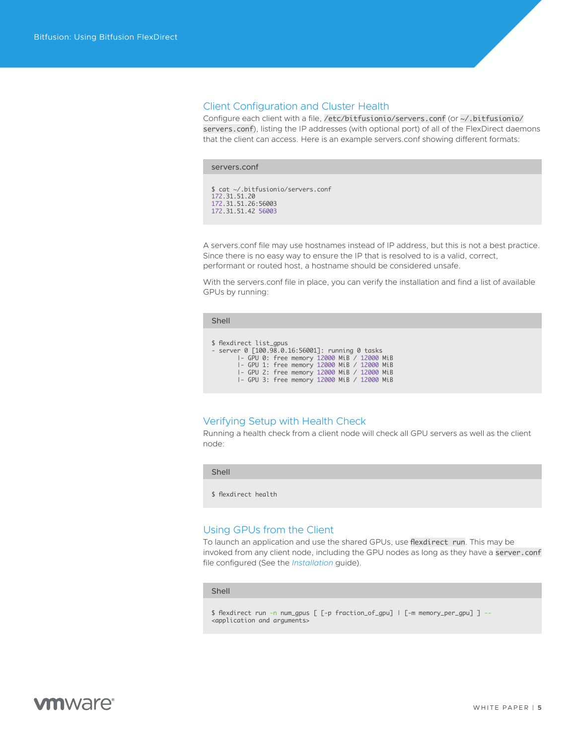### <span id="page-4-0"></span>Client Configuration and Cluster Health

Configure each client with a file, /etc/bitfusionio/servers.conf (or ~/.bitfusionio/ servers.conf), listing the IP addresses (with optional port) of all of the FlexDirect daemons that the client can access. Here is an example servers.conf showing different formats:

| servers.conf |                                          |                                    |  |
|--------------|------------------------------------------|------------------------------------|--|
| 172.31.51.20 | 172.31.51.26:56003<br>172.31.51.42 56003 | \$ cat ~/.bitfusionio/servers.conf |  |

A servers.conf file may use hostnames instead of IP address, but this is not a best practice. Since there is no easy way to ensure the IP that is resolved to is a valid, correct, performant or routed host, a hostname should be considered unsafe.

With the servers.conf file in place, you can verify the installation and find a list of available GPUs by running:

| . . | . . |  |
|-----|-----|--|

\$ flexdirect list\_gpus

- server 0 [100.98.0.16:56001]: running 0 tasks |- GPU 0: free memory 12000 MiB / 12000 MiB |- GPU 1: free memory 12000 MiB / 12000 MiB |- GPU 2: free memory 12000 MiB / 12000 MiB |- GPU 3: free memory 12000 MiB / 12000 MiB

# Verifying Setup with Health Check

Running a health check from a client node will check all GPU servers as well as the client node:

Shell

\$ flexdirect health

### Using GPUs from the Client

To launch an application and use the shared GPUs, use flexdirect run. This may be invoked from any client node, including the GPU nodes as long as they have a server.conf file configured (See the *[Installation](https://www-review.vmware.com/solutions/business-critical-apps/hardwareaccelerators-virtualization.html 
)* guide).

#### Shell

```
$ flexdirect run -n num_gpus [ [-p fraction_of_gpu] | [-m memory_per_gpu] ] --
<application and arguments>
```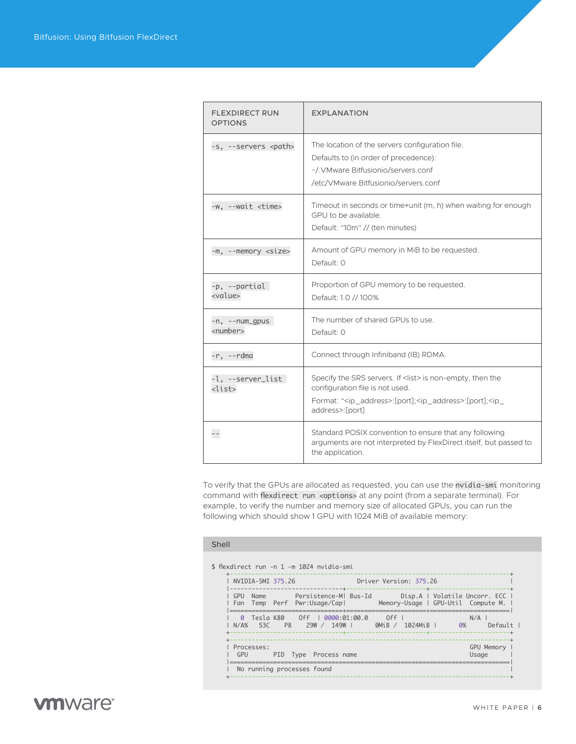| <b>FLEXDIRECT RUN</b><br><b>OPTIONS</b> | <b>EXPLANATION</b>                                                                                                                                                                                                      |
|-----------------------------------------|-------------------------------------------------------------------------------------------------------------------------------------------------------------------------------------------------------------------------|
| -s, --servers <path></path>             | The location of the servers configuration file.<br>Defaults to (in order of precedence):<br>~/. VMware Bitfusionio/servers.conf<br>/etc/VMware Bitfusionio/servers.conf                                                 |
| -w, --wait <time></time>                | Timeout in seconds or time+unit (m, h) when waiting for enough<br>GPU to be available.<br>Default: "10m" // (ten minutes)                                                                                               |
| -m, --memory <size></size>              | Amount of GPU memory in MiB to be requested.<br>Default: 0                                                                                                                                                              |
| -p, --partial<br><value></value>        | Proportion of GPU memory to be requested.<br>Default: 1.0 // 100%                                                                                                                                                       |
| -n, --num_gpus<br><number></number>     | The number of shared GPUs to use.<br>Default: 0                                                                                                                                                                         |
| $-r, -r$ dma                            | Connect through Infiniband (IB) RDMA.                                                                                                                                                                                   |
| -l, --server_list<br><list></list>      | Specify the SRS servers. If <list> is non-empty, then the<br/>configuration file is not used.<br/>Format: "<ip_address>:[port];<ip_address>:[port];<ip_<br>address&gt;:[port]</ip_<br></ip_address></ip_address></list> |
| $- -$                                   | Standard POSIX convention to ensure that any following<br>arguments are not interpreted by FlexDirect itself, but passed to<br>the application.                                                                         |

To verify that the GPUs are allocated as requested, you can use the nvidia-smi monitoring command with flexdirect run <options> at any point (from a separate terminal). For example, to verify the number and memory size of allocated GPUs, you can run the following which should show 1 GPU with 1024 MiB of available memory:

#### Shell

| NVIDIA-SMI 375.26                                                                                  | Driver Version: 375.26                                                |
|----------------------------------------------------------------------------------------------------|-----------------------------------------------------------------------|
| Persistence-MI Bus-Id<br>GPU<br><b>Name</b><br>Temp Perf Pwr:Usage/Capl<br>Fan                     | Disp.A   Volatile Uncorr. ECC  <br>Memory-Usage   GPU-Util Compute M. |
| Tesla K80<br>$0ff$  <br>0000:01:00.0<br>Ø<br>$N/\Delta\%$<br>P <sub>8</sub><br>53C<br>29W/<br>149W | 0ff<br>N/A<br>0%<br>$Defaul +$<br>QMiB /<br>1024MiB                   |
| Processes:<br>GPU<br>PID Type<br>Process name                                                      | GPU Memory<br>Usage                                                   |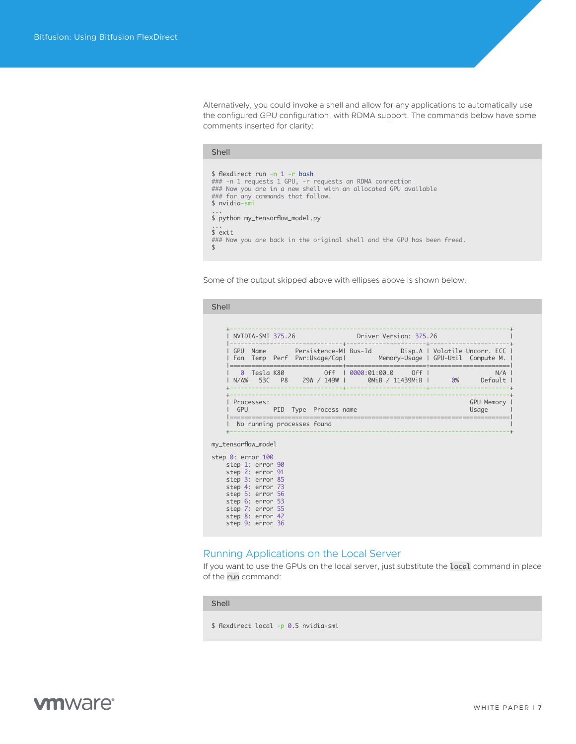<span id="page-6-0"></span>Alternatively, you could invoke a shell and allow for any applications to automatically use the configured GPU configuration, with RDMA support. The commands below have some comments inserted for clarity:

| Shell                                                                                                                                                                                                              |  |
|--------------------------------------------------------------------------------------------------------------------------------------------------------------------------------------------------------------------|--|
| \$ flexdirect run -n 1 -r bash<br>### -n 1 requests 1 GPU, -r requests an RDMA connection<br>### Now you are in a new shell with an allocated GPU available<br>### for any commands that follow.<br>$$$ nvidia-smi |  |
| $\cdots$<br>\$ python my_tensorflow_model.py                                                                                                                                                                       |  |
| $\cdots$<br>$s$ exit<br>### Now you are back in the original shell and the GPU has been freed.                                                                                                                     |  |

Some of the output skipped above with ellipses above is shown below:

#### Shell

|                                                                                                   |                  | NVIDIA-SMI 375.26            | <b>Driver Version: 375.26</b>                                                                                                     |                     |
|---------------------------------------------------------------------------------------------------|------------------|------------------------------|-----------------------------------------------------------------------------------------------------------------------------------|---------------------|
|                                                                                                   |                  |                              | GPU Name Persistence-MI Bus-Id Disp.A   Volatile Uncorr. ECC  <br>Fan Temp Perf Pwr:Usage/Capl Memory-Usage   GPU-Util Compute M. |                     |
|                                                                                                   |                  | N/A% 53C P8 29W / 149W I     | 0 Tesla K80 0ff   0000:01:00.0 0ff  <br><b>OMiB</b> / 11439MiB   <b>0%</b> Default                                                | N/A                 |
| GPU                                                                                               | Processes:       | <b>PID</b> Type Process name |                                                                                                                                   | GPU Memory<br>Usage |
|                                                                                                   |                  | No running processes found   |                                                                                                                                   |                     |
| my_tensorflow_model                                                                               |                  |                              |                                                                                                                                   |                     |
| step 0: error 100<br>step 1: error 90<br>step 2: error 91<br>step 3: error 85<br>step 4: error 73 |                  |                              |                                                                                                                                   |                     |
| step 5: error 56<br>step 6: error 53                                                              | step 7: error 55 |                              |                                                                                                                                   |                     |

# Running Applications on the Local Server

If you want to use the GPUs on the local server, just substitute the local command in place of the run command:

Shell

step 8: error 42 step 9: error 36

\$ flexdirect local -p 0.5 nvidia-smi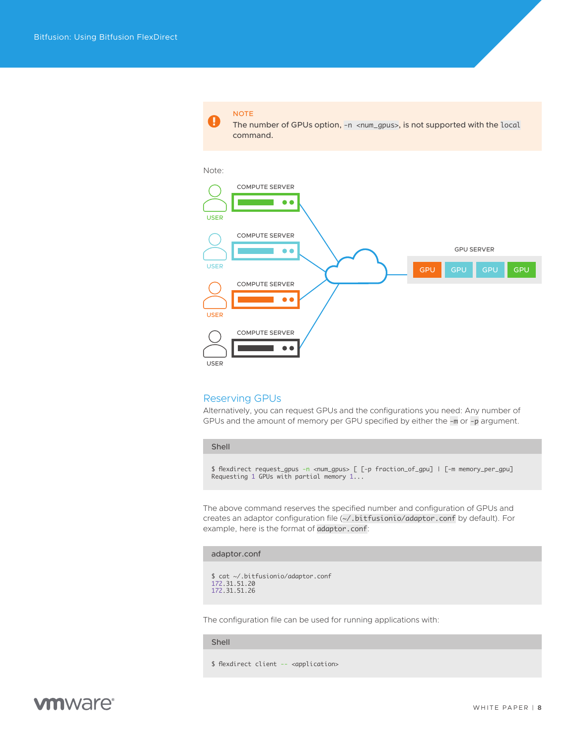<span id="page-7-0"></span>Note: COMPUTE SERVER π  $\bullet$ USER COMPUTE SERVER GPU SERVER  $\bullet$ USER GPU GPU GPU GPU COMPUTE SERVER  $\bullet$ USER COMPUTE SERVER  $\bullet$ ÷. USER

The number of GPUs option,  $-n <$ num\_gpus>, is not supported with the local

### Reserving GPUs

NOTE

command.

Alternatively, you can request GPUs and the configurations you need: Any number of GPUs and the amount of memory per GPU specified by either the -m or -p argument.

Shell

\$ flexdirect request\_gpus -n <num\_gpus> [ [-p fraction\_of\_gpu] | [-m memory\_per\_gpu]<br>Requesting 1 GPUs with partial memory 1...

The above command reserves the specified number and configuration of GPUs and creates an adaptor configuration file (~/.bitfusionio/adaptor.conf by default). For example, here is the format of adaptor.conf:

#### adaptor.conf

```
$ cat ~/.bitfusionio/adaptor.conf
172.31.51.20
172.31.51.26
```
The configuration file can be used for running applications with:

#### Shell

#### \$ flexdirect client -- <application>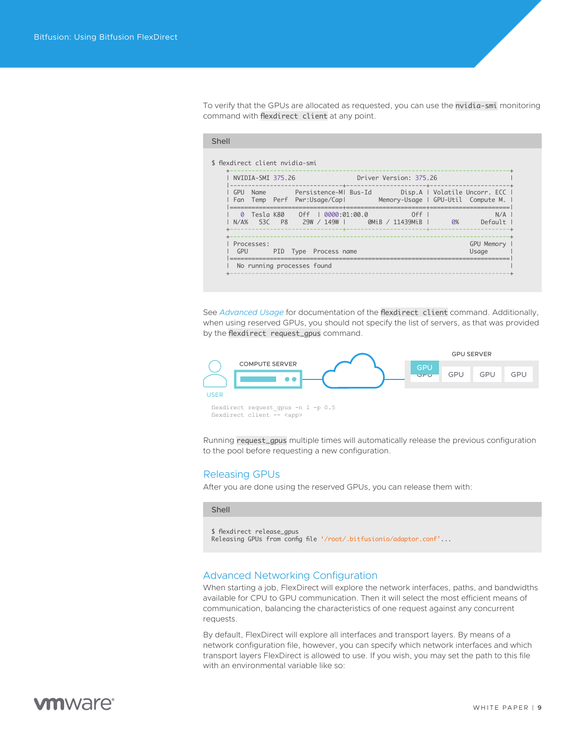<span id="page-8-0"></span>To verify that the GPUs are allocated as requested, you can use the nvidia-smi monitoring command with flexdirect client at any point.

|                    | NVIDIA-SMI 375.26 |  |                              | Driver Version: 375.26                                                                                                                |                     |
|--------------------|-------------------|--|------------------------------|---------------------------------------------------------------------------------------------------------------------------------------|---------------------|
| $\overline{1}$ GPU |                   |  |                              | Name Persistence-MI Bus-Id Disp.A   Volatile Uncorr. ECC  <br>l Fan Temp Perf Pwr:Usage/Capl     Memory-Usage l GPU-Util Compute M. l |                     |
|                    |                   |  | ------------                 | ===============<br>0 Tesla K80 0ff 1 0000:01:00.0<br>  N/A% 53C P8 29W/149W   0MiB/11439MiB   0%                                      | N/A<br>Default      |
| GPU                | Processes:        |  | <b>PID</b> Type Process name |                                                                                                                                       | GPU Memory<br>Usage |

See *[Advanced Usage](https://www-review.vmware.com/solutions/business-critical-apps/hardwareaccelerators-virtualization.html )* for documentation of the flexdirect client command. Additionally, when using reserved GPUs, you should not specify the list of servers, as that was provided by the flexdirect request\_gpus command.



Running request\_gpus multiple times will automatically release the previous configuration to the pool before requesting a new configuration.

### Releasing GPUs

After you are done using the reserved GPUs, you can release them with:

#### Shell

```
$ flexdirect release_gpus
Releasing GPUs from config file '/root/.bitfusionio/adaptor.conf'...
```
# Advanced Networking Configuration

When starting a job, FlexDirect will explore the network interfaces, paths, and bandwidths available for CPU to GPU communication. Then it will select the most efficient means of communication, balancing the characteristics of one request against any concurrent requests.

By default, FlexDirect will explore all interfaces and transport layers. By means of a network configuration file, however, you can specify which network interfaces and which transport layers FlexDirect is allowed to use. If you wish, you may set the path to this file with an environmental variable like so:

# *mware*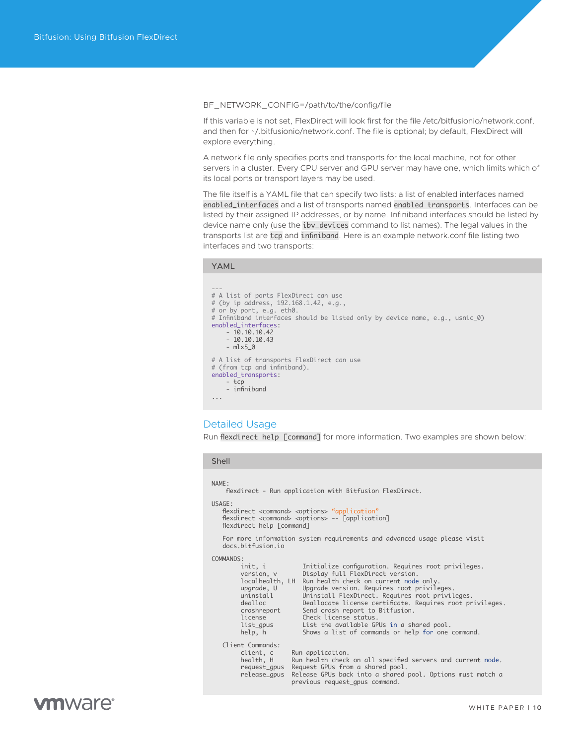#### <span id="page-9-0"></span>BF\_NETWORK\_CONFIG=/path/to/the/config/file

If this variable is not set, FlexDirect will look first for the file /etc/bitfusionio/network.conf, and then for ~/.bitfusionio/network.conf. The file is optional; by default, FlexDirect will explore everything.

A network file only specifies ports and transports for the local machine, not for other servers in a cluster. Every CPU server and GPU server may have one, which limits which of its local ports or transport layers may be used.

The file itself is a YAML file that can specify two lists: a list of enabled interfaces named enabled\_interfaces and a list of transports named enabled transports. Interfaces can be listed by their assigned IP addresses, or by name. Infiniband interfaces should be listed by device name only (use the ibv\_devices command to list names). The legal values in the transports list are tcp and infiniband. Here is an example network.conf file listing two interfaces and two transports:

#### YAML

```
---
# A list of ports FlexDirect can use
# (by ip address, 192.168.1.42, e.g.,
# or by port, e.g. eth0.
# Infiniband interfaces should be listed only by device name, e.g., usnic_0)
enabled_interfaces:
 - 10.10.10.42
 - 10.10.10.43
     - mlx5_0 
# A list of transports FlexDirect can use
# (from tcp and infiniband).
enabled_transports:
     - tcp
     - infiniband
...
```
# Detailed Usage

Run flexdirect help [command] for more information. Two examples are shown below:

# Shell

#### NAME: flexdirect - Run application with Bitfusion FlexDirect. USAGE: flexdirect <command> <options> "application" flexdirect <command> <options> -- [application] flexdirect help [command] For more information system requirements and advanced usage please visit docs.bitfusion.io COMMANDS:<br>init.i Initialize configuration. Requires root privileges. version, v Display full FlexDirect version. localhealth, LH Run health check on current node only. upgrade, U Upgrade version. Requires root privileges. uninstall Uninstall FlexDirect. Requires root privileges. dealloc Deallocate license certificate. Requires root privileges. crashreport Send crash report to Bitfusion. license Check license status.<br>list\_gpus List the available GF list\_gpus List the available GPUs in a shared pool.<br>help, h Shows a list of commands or help for one Shows a list of commands or help for one command. Client Commands:<br>client, c<br>health, H Run application. Run health check on all specified servers and current node. request\_gpus Request GPUs from a shared pool. release\_gpus Release GPUs back into a shared pool. Options must match a previous request\_gpus command.

# mware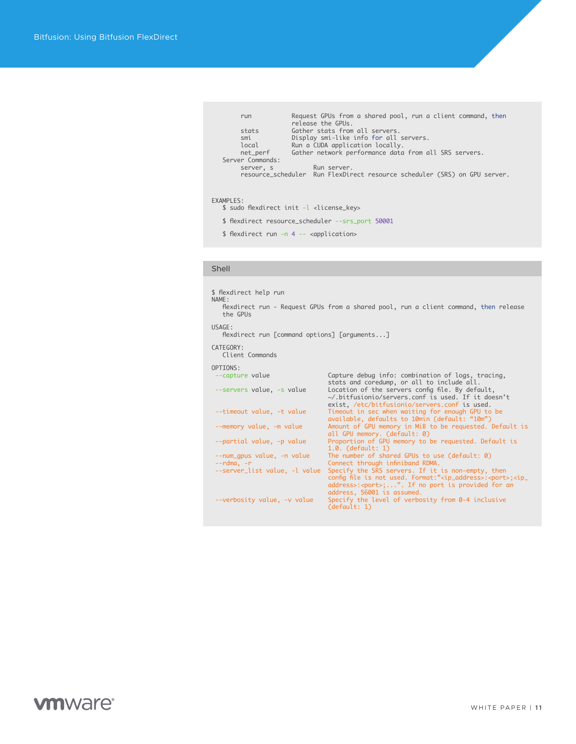| run              | Request GPUs from a shared pool, run a client command, then<br>release the GPUs. |
|------------------|----------------------------------------------------------------------------------|
| stats            | Gather stats from all servers.                                                   |
| smi              | Display smi-like info for all servers.                                           |
| local            | Run a CUDA application locally.                                                  |
| net_perf         | Gather network performance data from all SRS servers.                            |
| Server Commands: |                                                                                  |
| server, s        | Run server.                                                                      |
|                  | resource_scheduler Run FlexDirect resource scheduler (SRS) on GPU server.        |
|                  |                                                                                  |

#### EXAMPLES:

\$ sudo flexdirect init -l <license\_key>

\$ flexdirect resource\_scheduler --srs\_port 50001

\$ flexdirect run -n 4 -- <application>

### Shell

\$ flexdirect help run NAME: flexdirect run - Request GPUs from a shared pool, run a client command, then release the GPUs USAGE: flexdirect run [command options] [arguments...] CATEGORY: Client Commands OPTIONS:<br>--capture value --capture value<br>
stats and coredump, or all to include all.<br>
--servers value, -s value<br>
location of the servers config file. By default,<br>
--timeout value, -t value<br>
in sec when waiting for enough GPU to be<br>
available, defa 1.0. (default: 1)<br>--num\_gpus value, -n value The number of shar --num\_gpus value, -n value The number of shared GPUs to use (default: 0) --rdma, -r<br>
--server\_list value, -l value Specify the SRS servers. If it is non-empty, then<br>
config file is not used. Format:" $\langle i\rangle$ -indaderss>: $\langle i\rangle$ -address>: $\langle i\rangle$ -address>: $\langle i\rangle$ -address>: $\langle i\rangle$ -address>: $\langle i\rangle$ -a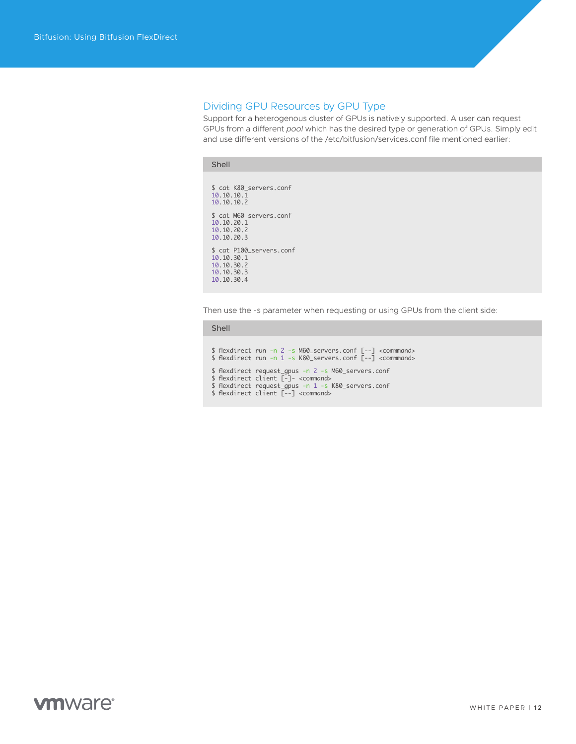# <span id="page-11-0"></span>Dividing GPU Resources by GPU Type

Support for a heterogenous cluster of GPUs is natively supported. A user can request GPUs from a different *pool* which has the desired type or generation of GPUs. Simply edit and use different versions of the /etc/bitfusion/services.conf file mentioned earlier:

#### Shell

\$ cat K80\_servers.conf 10.10.10.1 10.10.10.2 \$ cat M60\_servers.conf 10.10.20.1 10.10.20.2 10.10.20.3 \$ cat P100\_servers.conf 10.10.30.1 10.10.30.2 10.10.30.3 10.10.30.4

Then use the -s parameter when requesting or using GPUs from the client side:

#### Shell

```
$ flexdirect run -n 2 -s M60_servers.conf [--] <commmand>
$ flexdirect run -n 1 -s K80_servers.conf [--] <commmand>
$ flexdirect request_gpus -n 2 -s M60_servers.conf
$ flexdirect client [-]- <command>
$ flexdirect request_gpus -n 1 -s K80_servers.conf
$ flexdirect client [--] <command>
```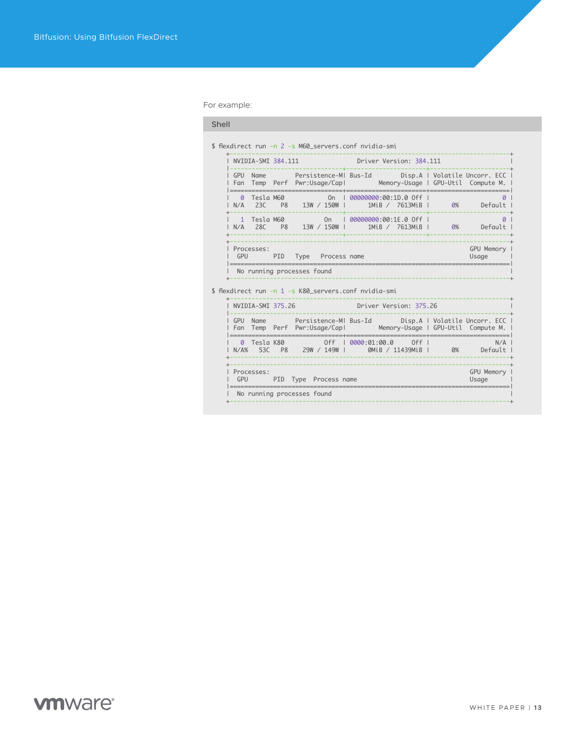For example:

#### Shell

\$ flexdirect run -n 2 -s M60\_servers.conf nvidia-smi

|            | NVIDIA-SMI 384.111  |                |                                              | Driver Version: 384.111                        |                                                                       |
|------------|---------------------|----------------|----------------------------------------------|------------------------------------------------|-----------------------------------------------------------------------|
| GPU<br>Fan | <b>Name</b><br>Temp |                | Persistence-MI Bus-Id<br>Perf Pwr:Usage/Capl |                                                | Disp.A   Volatile Uncorr. ECC  <br>Memory-Usage   GPU-Util Compute M. |
| Ø<br>N/A   | Tesla M60<br>23C    | P <sub>8</sub> | 0 <sub>n</sub><br>13W / 150W                 | 00000000:00:1D.0 Off<br>1MiB /<br>7613MiB      | 0%<br>Default                                                         |
| N/A        | Tesla M60<br>28C    | P <sub>8</sub> | On<br>13W / 150W                             | 00000000:00:1E.0 Off<br>$1$ MiB $/$<br>7613MiB | 0%<br>Default                                                         |
| GPU        | Processes:          | PID            | Type<br>Process name                         |                                                | GPU Memory<br>Usage                                                   |

\$ flexdirect run -n 1 -s K80\_servers.conf nvidia-smi

| GPU<br><b>Fan</b>   | <b>Name</b>      |                | Persistence-MI Bus-Id<br>Temp Perf Pwr:Usage/Capl | ________________________________  |                 |     |       | Disp.A   Volatile Uncorr. ECC  <br>Memory-Usage   GPU-Util Compute M.<br>______________________ |
|---------------------|------------------|----------------|---------------------------------------------------|-----------------------------------|-----------------|-----|-------|-------------------------------------------------------------------------------------------------|
| $\Omega$<br>$N/A\%$ | Tesla K80<br>53C | P <sub>8</sub> | $0ff$  <br>29W / 149W I                           | _________________<br>0000:01:00.0 | 0MiB / 11439MiB | Off | $0\%$ | $Defaul +$                                                                                      |
| GPU                 | Processes:       |                | PID Type Process name                             |                                   |                 |     |       | GPU Memory<br>Usaae                                                                             |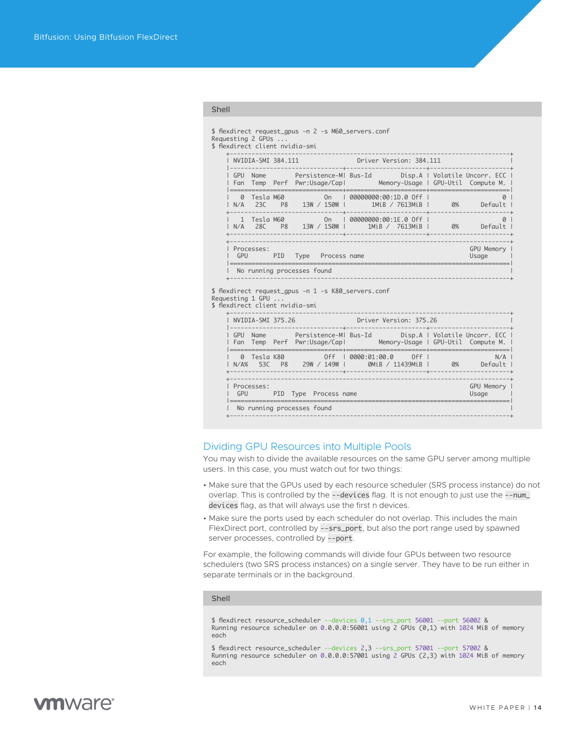```
Shell
```

```
$ flexdirect request_gpus -n 2 -s M60_servers.conf
Requesting 2 GPUs ...
$ flexdirect client nvidia-smi
 +-----------------------------------------------------------------------------+
      | NVIDIA-SMI 384.111 Driver Version: 384.111 |
 |-------------------------------+----------------------+----------------------+
 | GPU Name Persistence-M| Bus-Id Disp.A | Volatile Uncorr. ECC |
      | Fan Temp Perf Pwr:Usage/Cap| Memory-Usage | GPU-Util Compute M. |
 |===============================+======================+======================|
 | 0 Tesla M60 On | 00000000:00:1D.0 Off | 0 |
 | N/A 23C P8 13W / 150W | 1MiB / 7613MiB | 0% Default |
      +-------------------------------+----------------------+----------------------+
 | 1 Tesla M60 On | 00000000:00:1E.0 Off | 0 |
 | N/A 28C P8 13W / 150W | 1MiB / 7613MiB | 0% Default |
      +-------------------------------+----------------------+----------------------+
         +-----------------------------------------------------------------------------+
      | Processes: GPU Memory |
                 PID Type Process name
 |=============================================================================|
     | No running processes found |
 +-----------------------------------------------------------------------------+
$ flexdirect request_gpus -n 1 -s K80_servers.conf
Requesting 1 GPU ...
$ flexdirect client nvidia-smi
 +-----------------------------------------------------------------------------+
 | NVIDIA-SMI 375.26 Driver Version: 375.26 |
 |-------------------------------+----------------------+----------------------+
 | GPU Name Persistence-M| Bus-Id Disp.A | Volatile Uncorr. ECC |
      | Fan Temp Perf Pwr:Usage/Cap| Memory-Usage | GPU-Util Compute M. |
 |===============================+======================+======================| 
 | 0 Tesla K80 Off | 0000:01:00.0 Off | N/A |
 | N/A% 53C P8 29W / 149W | 0MiB / 11439MiB | 0% Default |
                              +-------------------------------+----------------------+----------------------+ 
 +-----------------------------------------------------------------------------+
      Processes: GPU Memory<br>| GPU PID Type Process name | Contract Contract CPU Memory | Usage | CPU Memory
        GPU PID Type Process name
 |=============================================================================|
    | No running processes found
 +-----------------------------------------------------------------------------+
```
### Dividing GPU Resources into Multiple Pools

You may wish to divide the available resources on the same GPU server among multiple users. In this case, you must watch out for two things:

- Make sure that the GPUs used by each resource scheduler (SRS process instance) do not overlap. This is controlled by the --devices flag. It is not enough to just use the --num\_ devices flag, as that will always use the first n devices.
- Make sure the ports used by each scheduler do not overlap. This includes the main FlexDirect port, controlled by --srs\_port, but also the port range used by spawned server processes, controlled by --port.

For example, the following commands will divide four GPUs between two resource schedulers (two SRS process instances) on a single server. They have to be run either in separate terminals or in the background.

#### Shell

\$ flexdirect resource\_scheduler --devices 0,1 --srs\_port 56001 --port 56002 & Running resource scheduler on 0.0.0.0:56001 using 2 GPUs (0,1) with 1024 MiB of memory each

\$ flexdirect resource\_scheduler --devices 2,3 --srs\_port 57001 --port 57002 & Running resource scheduler on 0.0.0.0:57001 using 2 GPUs (2,3) with 1024 MiB of memory each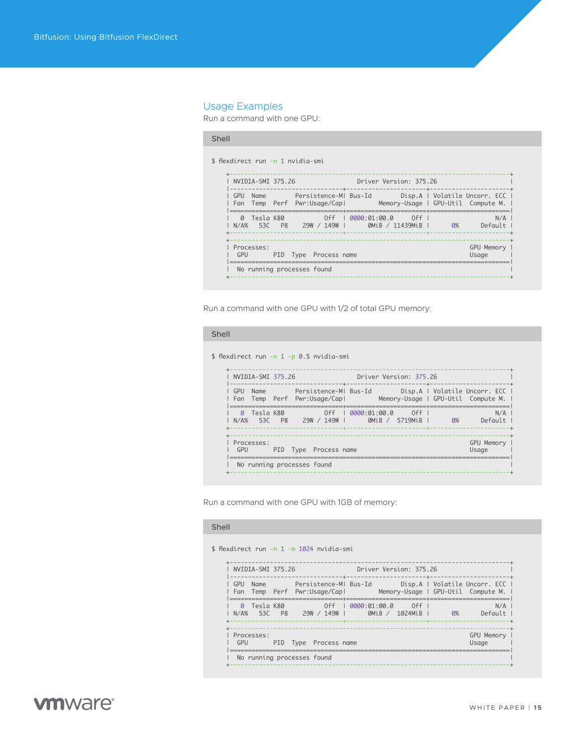# <span id="page-14-0"></span>Usage Examples

Run a command with one GPU:

### Shell

\$ flexdirect run -n 1 nvidia-smi

| GPU<br>- Fan | <b>Name</b>      |                | Persistence-MI Bus-Id<br>Temp Perf Pwr:Usage/Capl |                |                 |     |    | Disp.A   Volatile Uncorr. ECC  <br>Memory-Usage   GPU-Util Compute M. |
|--------------|------------------|----------------|---------------------------------------------------|----------------|-----------------|-----|----|-----------------------------------------------------------------------|
| Ø<br>$N/A\%$ | Tesla K80<br>530 | P <sub>8</sub> | 0ff<br>149W<br>29W /                              | 0.0000:01:0000 | 0MiB / 11439MiB | 0ff | 0% | $Defaul +$                                                            |
| GPU          | Processes:       | PID.           | Type Process name                                 |                |                 |     |    | GPU Memory<br>Usaae                                                   |

Run a command with one GPU with 1/2 of total GPU memory:

#### Shell

\$ flexdirect run -n 1 -p 0.5 nvidia-smi

| GPU<br>Fan          | <b>Name</b><br>Temp |                | Persistence-MI Bus-Id<br>Perf Pwr:Usage/Capl |                |        |                |    | Disp.A   Volatile Uncorr. ECC  <br>Memory-Usage   GPU-Util Compute M. |
|---------------------|---------------------|----------------|----------------------------------------------|----------------|--------|----------------|----|-----------------------------------------------------------------------|
| $\Omega$<br>$N/A\%$ | Tesla K80<br>- 530  | P <sub>8</sub> | 0ff<br>29W / 149W                            | 0.0000:01:0000 | QMiR / | 0ff<br>5719MiR | 0% | N/A<br>$Defaul +$                                                     |
| GPU                 | Processes:          | PID            | Type Process name                            |                |        |                |    | GPU Memory<br>Usaae                                                   |

Run a command with one GPU with 1GB of memory:

### Shell

\$ flexdirect run -n 1 -m 1024 nvidia-smi

| GPU<br>Fan   | <b>Name</b>        |                | Persistence-MI Bus-Id<br>Temp Perf Pwr:Usage/Capl |                |        |                |    | Disp.A   Volatile Uncorr. ECC  <br>Memory-Usage   GPU-Util Compute M. |
|--------------|--------------------|----------------|---------------------------------------------------|----------------|--------|----------------|----|-----------------------------------------------------------------------|
| Ø<br>$N/A\%$ | Tesla K80<br>- 530 | P <sub>8</sub> | 0ff<br>29W / 149W L                               | 0.0000:01:0000 | QMiB / | 0ff<br>1024MiB | 0% | N/A<br>$Defaul +$                                                     |
| GPU          | Processes:         |                | PID Type Process name                             |                |        |                |    | GPU Memory<br>Usaae                                                   |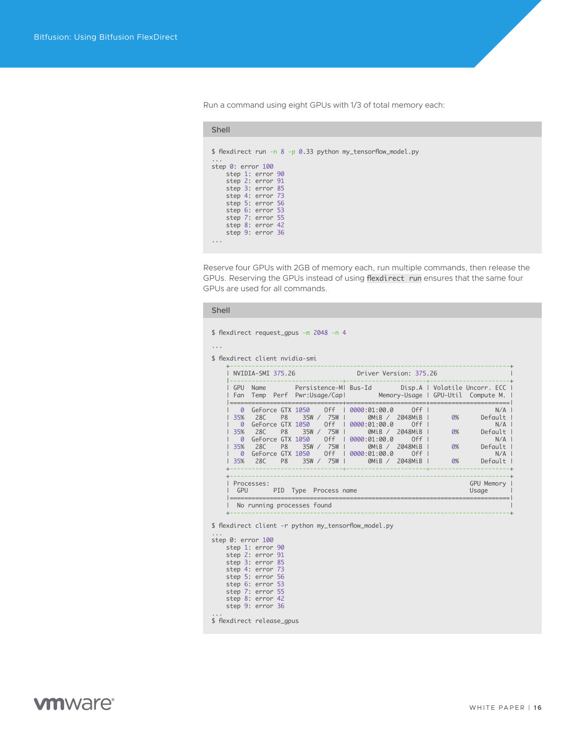Run a command using eight GPUs with 1/3 of total memory each:

| Shell                                                                                                                                                                                                                                                                     |
|---------------------------------------------------------------------------------------------------------------------------------------------------------------------------------------------------------------------------------------------------------------------------|
| \$ flexdirect run -n 8 -p 0.33 python my_tensorflow_model.py<br>step $0:$ error $100$<br>step 1: error 90<br>step 2: error 91<br>step 3: error 85<br>step 4: error 73<br>step 5: error 56<br>step 6: error 53<br>step 7: error 55<br>step 8: error 42<br>step 9: error 36 |
|                                                                                                                                                                                                                                                                           |

Reserve four GPUs with 2GB of memory each, run multiple commands, then release the GPUs. Reserving the GPUs instead of using flexdirect run ensures that the same four GPUs are used for all commands.

|                                        | \$ flexdirect client nvidia-smi                                                                |                                  | <b>Driver Version: 375.26</b> |                  |                                                                                    |                              |                                                                                                                                   |
|----------------------------------------|------------------------------------------------------------------------------------------------|----------------------------------|-------------------------------|------------------|------------------------------------------------------------------------------------|------------------------------|-----------------------------------------------------------------------------------------------------------------------------------|
|                                        | NVIDIA-SMI 375.26                                                                              |                                  |                               |                  |                                                                                    |                              | GPU Name Persistence-MI Bus-Id Disp.A   Volatile Uncorr. ECC  <br>Fan Temp Perf Pwr:Usage/Capl Memory-Usage   GPU-Util Compute M. |
| 35%<br>$\boldsymbol{\emptyset}$<br>35% | GeForce GTX 1050 0ff   0000:01:00.0<br>28C<br>35% 28C<br>35% 28C P8 35W / 75W   0MiB / 2048MiB | P8 35W / 75W I<br>P8 35W / 75W I |                               | OMiB /<br>OMiB / | $0ff$  <br>0MiB / 2048MiB  <br>$0ff$  <br>2048MiB  <br>$0ff$  <br>2048MiB  <br>Off | 0%<br>0%<br>$\overline{0\%}$ | N/A<br>0%<br>Default I<br>N/A<br>Default I<br>N/A<br>Default I<br>N/A<br>Default                                                  |
|                                        | Processes:<br>GPU PID Type Process name                                                        |                                  |                               |                  |                                                                                    |                              | GPU Memory  <br>Usage                                                                                                             |

|                            | step 1: error 90 |  |
|----------------------------|------------------|--|
|                            | step 2: error 91 |  |
|                            | step 3: error 85 |  |
|                            | step 4: error 73 |  |
|                            | step 5: error 56 |  |
|                            | step 6: error 53 |  |
|                            | step 7: error 55 |  |
|                            | step 8: error 42 |  |
|                            | step 9: error 36 |  |
|                            |                  |  |
| \$ flexdirect release_gpus |                  |  |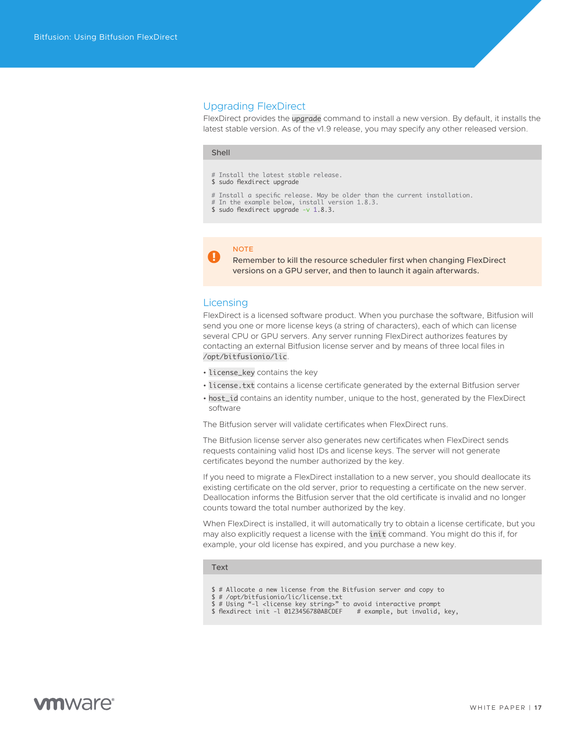#### <span id="page-16-0"></span>Upgrading FlexDirect

FlexDirect provides the upgrade command to install a new version. By default, it installs the latest stable version. As of the v1.9 release, you may specify any other released version.

#### Shell

- # Install the latest stable release.
- \$ sudo flexdirect upgrade
- # Install a specific release. May be older than the current installation.
- # In the example below, install version 1.8.3.
- \$ sudo flexdirect upgrade -v 1.8.3.

# **NOTE**

Remember to kill the resource scheduler first when changing FlexDirect versions on a GPU server, and then to launch it again afterwards.

### **Licensing**

FlexDirect is a licensed software product. When you purchase the software, Bitfusion will send you one or more license keys (a string of characters), each of which can license several CPU or GPU servers. Any server running FlexDirect authorizes features by contacting an external Bitfusion license server and by means of three local files in /opt/bitfusionio/lic.

- license\_key contains the key
- license.txt contains a license certificate generated by the external Bitfusion server
- host\_id contains an identity number, unique to the host, generated by the FlexDirect software

The Bitfusion server will validate certificates when FlexDirect runs.

The Bitfusion license server also generates new certificates when FlexDirect sends requests containing valid host IDs and license keys. The server will not generate certificates beyond the number authorized by the key.

If you need to migrate a FlexDirect installation to a new server, you should deallocate its existing certificate on the old server, prior to requesting a certificate on the new server. Deallocation informs the Bitfusion server that the old certificate is invalid and no longer counts toward the total number authorized by the key.

When FlexDirect is installed, it will automatically try to obtain a license certificate, but you may also explicitly request a license with the init command. You might do this if, for example, your old license has expired, and you purchase a new key.

#### Text

- \$ # Allocate a new license from the Bitfusion server and copy to
- 
- \$ # /opt/bitfusionio/lic/license.txt \$ # Using "-l <license key string>" to avoid interactive prompt \$ flexdirect init -l 0123456780ABCDEF # example, but invalid, key,
-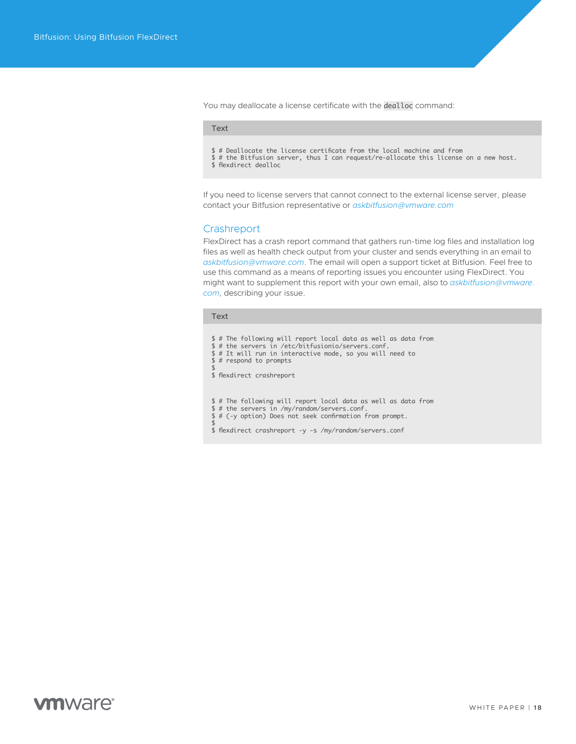<span id="page-17-0"></span>You may deallocate a license certificate with the dealloc command:

#### Text

\$ # Deallocate the license certificate from the local machine and from \$ # the Bitfusion server, thus I can request/re-allocate this license on a new host.

\$ flexdirect dealloc

If you need to license servers that cannot connect to the external license server, please contact your Bitfusion representative or *[askbitfusion@vmware.com](mailto:askbitfusion%40vmware.com?subject=)*

#### **Crashreport**

FlexDirect has a crash report command that gathers run-time log files and installation log files as well as health check output from your cluster and sends everything in an email to *[askbitfusion@vmware.com](mailto:askbitfusion%40vmware.com?subject=)*. The email will open a support ticket at Bitfusion. Feel free to use this command as a means of reporting issues you encounter using FlexDirect. You might want to supplement this report with your own email, also to *[askbitfusion@vmware.](mailto:askbitfusion%40vmware.com?subject=) [com](mailto:askbitfusion%40vmware.com?subject=)*, describing your issue.

#### Text

\$ # The following will report local data as well as data from \$ # the servers in /etc/bitfusionio/servers.conf. \$ # It will run in interactive mode, so you will need to  $$ #$  respond to prompts \$ \$ flexdirect crashreport \$ # The following will report local data as well as data from \$ # the servers in /my/random/servers.conf. \$ # (-y option) Does not seek confirmation from prompt. \$ \$ flexdirect crashreport -y -s /my/random/servers.conf